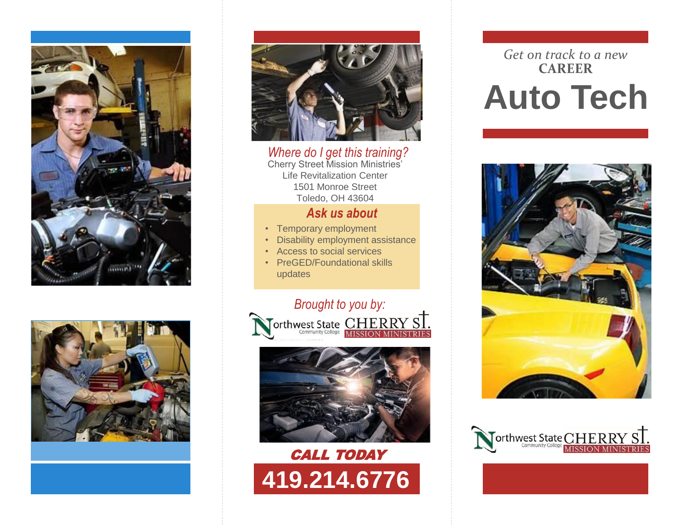





*Where do I get this training?* Cherry Street Mission Ministries' Life Revitalization Center 1501 Monroe Street Toledo, OH 43604

#### *Ask us about*

- Temporary employment
- Disability employment assistance
- Access to social services
- PreGED/Foundational skills updates







# *Get on track to a new* **CAREER Auto Tech**